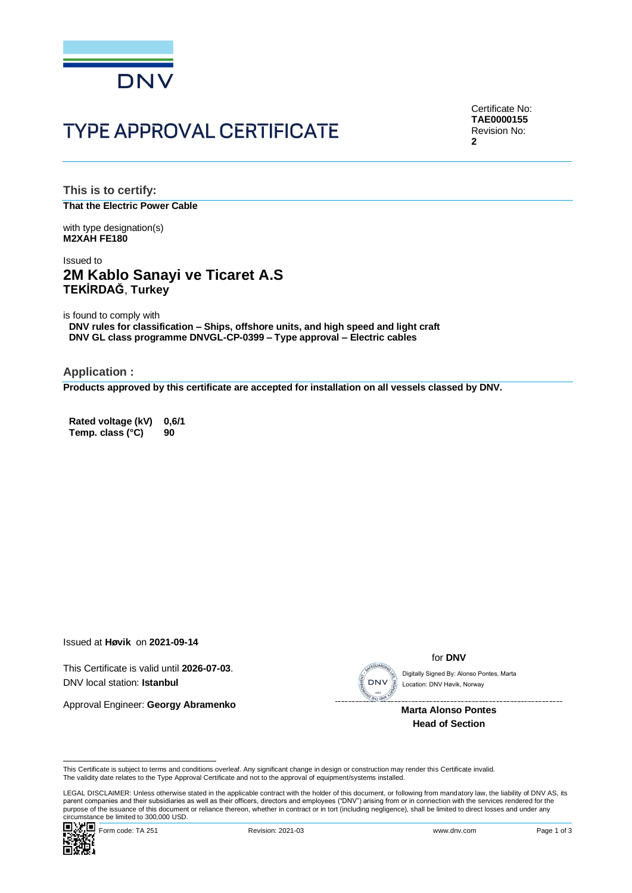

# **TYPE APPROVAL CERTIFICATE**

Certificate No: **TAE0000155** Revision No: **2**

**This is to certify: That the Electric Power Cable**

with type designation(s) **M2XAH FE180**

## Issued to **2M Kablo Sanayi ve Ticaret A.S TEKİRDAĞ**, **Turkey**

is found to comply with

**DNV rules for classification – Ships, offshore units, and high speed and light craft DNV GL class programme DNVGL-CP-0399 – Type approval – Electric cables**

**Application :**

**Products approved by this certificate are accepted for installation on all vessels classed by DNV.**

**Rated voltage (kV) 0,6/1 Temp. class (°C) 90**

Issued at **Høvik** on **2021-09-14**

This Certificate is valid until **2026-07-03**. DNV local station: **Istanbul**

Approval Engineer: **Georgy Abramenko**



for **DNV**

Location: DNV Høvik, Norway

**Marta Alonso Pontes Head of Section**

This Certificate is subject to terms and conditions overleaf. Any significant change in design or construction may render this Certificate invalid.<br>The validity date relates to the Type Approval Certificate and not to the

LEGAL DISCLAIMER: Unless otherwise stated in the applicable contract with the holder of this document, or following from mandatory law, the liability of DNV AS, its parent companies and their subsidiaries as well as their officers, directors and employees ("DNV") arising from or in connection with the services rendered for the This Certificate is subject to terms and conditions overleaf. Any significant change in design or construction may render this Certificate invalid.<br>This Certificate is subject to terms and conditions overleaf. Any signific

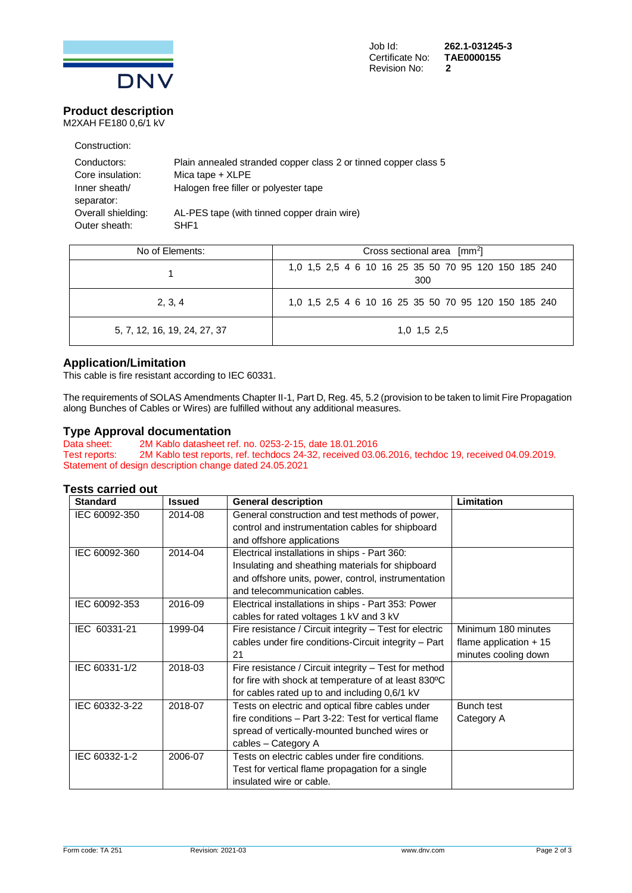

#### **Product description** M2XAH FE180 0,6/1 kV

Construction:

| Conductors:        | Plain annealed stranded copper class 2 or tinned copper class 5 |
|--------------------|-----------------------------------------------------------------|
| Core insulation:   | Mica tape $+$ XLPE                                              |
| Inner sheath/      | Halogen free filler or polyester tape                           |
| separator:         |                                                                 |
| Overall shielding: | AL-PES tape (with tinned copper drain wire)                     |
| Outer sheath:      | SHF <sub>1</sub>                                                |

| No of Elements:              | Cross sectional area $\lceil mm^2 \rceil$                   |  |  |
|------------------------------|-------------------------------------------------------------|--|--|
|                              | 1,0 1,5 2,5 4 6 10 16 25 35 50 70 95 120 150 185 240<br>300 |  |  |
| 2, 3, 4                      | 1,0 1,5 2,5 4 6 10 16 25 35 50 70 95 120 150 185 240        |  |  |
| 5, 7, 12, 16, 19, 24, 27, 37 | 1,0 1,5 2,5                                                 |  |  |

# **Application/Limitation**

This cable is fire resistant according to IEC 60331.

The requirements of SOLAS Amendments Chapter II-1, Part D, Reg. 45, 5.2 (provision to be taken to limit Fire Propagation along Bunches of Cables or Wires) are fulfilled without any additional measures.

### **Type Approval documentation**

Data sheet: 2M Kablo datasheet ref. no. 0253-2-15, date 18.01.2016<br>Test reports: 2M Kablo test reports, ref. techdocs 24-32, received 03.0 2M Kablo test reports, ref. techdocs 24-32, received 03.06.2016, techdoc 19, received 04.09.2019. Statement of design description change dated 24.05.2021

## **Tests carried out**

| <b>Standard</b> | <b>Issued</b> | <b>General description</b>                              | Limitation              |
|-----------------|---------------|---------------------------------------------------------|-------------------------|
| IEC 60092-350   | 2014-08       | General construction and test methods of power,         |                         |
|                 |               | control and instrumentation cables for shipboard        |                         |
|                 |               | and offshore applications                               |                         |
| IEC 60092-360   | 2014-04       | Electrical installations in ships - Part 360:           |                         |
|                 |               | Insulating and sheathing materials for shipboard        |                         |
|                 |               | and offshore units, power, control, instrumentation     |                         |
|                 |               | and telecommunication cables.                           |                         |
| IEC 60092-353   | 2016-09       | Electrical installations in ships - Part 353: Power     |                         |
|                 |               | cables for rated voltages 1 kV and 3 kV                 |                         |
| IEC 60331-21    | 1999-04       | Fire resistance / Circuit integrity - Test for electric | Minimum 180 minutes     |
|                 |               | cables under fire conditions-Circuit integrity - Part   | flame application $+15$ |
|                 |               | 21                                                      | minutes cooling down    |
| IEC 60331-1/2   | 2018-03       | Fire resistance / Circuit integrity - Test for method   |                         |
|                 |               | for fire with shock at temperature of at least 830°C    |                         |
|                 |               | for cables rated up to and including 0,6/1 kV           |                         |
| IEC 60332-3-22  | 2018-07       | Tests on electric and optical fibre cables under        | Bunch test              |
|                 |               | fire conditions - Part 3-22: Test for vertical flame    | Category A              |
|                 |               | spread of vertically-mounted bunched wires or           |                         |
|                 |               | cables - Category A                                     |                         |
| IEC 60332-1-2   | 2006-07       | Tests on electric cables under fire conditions.         |                         |
|                 |               | Test for vertical flame propagation for a single        |                         |
|                 |               | insulated wire or cable.                                |                         |